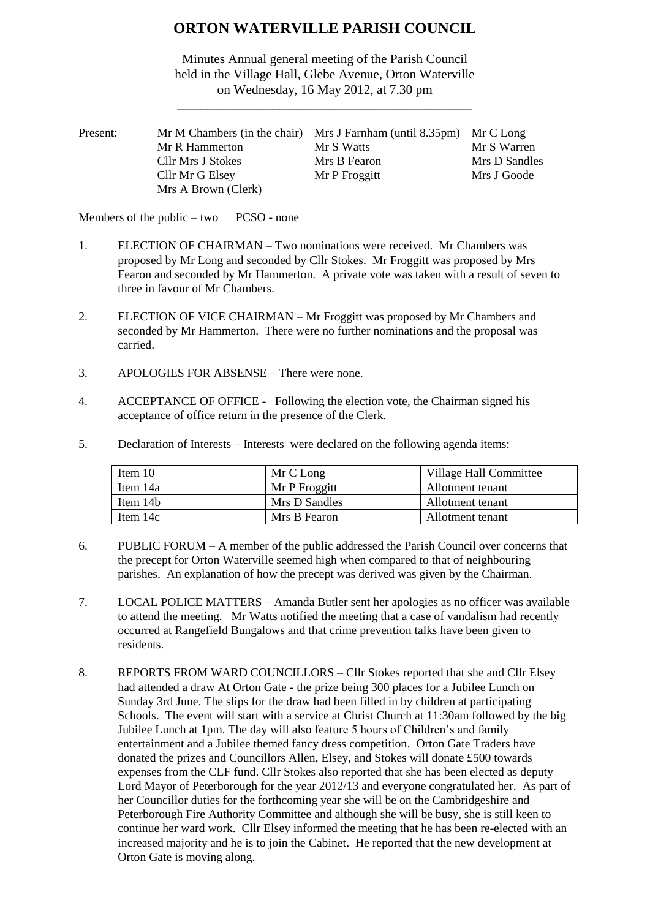# **ORTON WATERVILLE PARISH COUNCIL**

Minutes Annual general meeting of the Parish Council held in the Village Hall, Glebe Avenue, Orton Waterville on Wednesday, 16 May 2012, at 7.30 pm

\_\_\_\_\_\_\_\_\_\_\_\_\_\_\_\_\_\_\_\_\_\_\_\_\_\_\_\_\_\_\_\_\_\_\_\_\_\_\_\_\_\_\_\_\_\_\_\_\_

| Present: |                     | Mr M Chambers (in the chair) Mrs J Farnham (until 8.35pm) Mr C Long |               |
|----------|---------------------|---------------------------------------------------------------------|---------------|
|          | Mr R Hammerton      | Mr S Watts                                                          | Mr S Warren   |
|          | Cllr Mrs J Stokes   | Mrs B Fearon                                                        | Mrs D Sandles |
|          | Cllr Mr G Elsey     | Mr P Froggitt                                                       | Mrs J Goode   |
|          | Mrs A Brown (Clerk) |                                                                     |               |

Members of the public – two PCSO - none

- 1. ELECTION OF CHAIRMAN Two nominations were received. Mr Chambers was proposed by Mr Long and seconded by Cllr Stokes. Mr Froggitt was proposed by Mrs Fearon and seconded by Mr Hammerton. A private vote was taken with a result of seven to three in favour of Mr Chambers.
- 2. ELECTION OF VICE CHAIRMAN Mr Froggitt was proposed by Mr Chambers and seconded by Mr Hammerton. There were no further nominations and the proposal was carried.
- 3. APOLOGIES FOR ABSENSE There were none.
- 4. ACCEPTANCE OF OFFICE Following the election vote, the Chairman signed his acceptance of office return in the presence of the Clerk.
- 5. Declaration of Interests Interests were declared on the following agenda items:

| Item 10  | Mr C Long     | Village Hall Committee |
|----------|---------------|------------------------|
| Item 14a | Mr P Froggitt | Allotment tenant       |
| Item 14b | Mrs D Sandles | Allotment tenant       |
| Item 14c | Mrs B Fearon  | Allotment tenant       |

- 6. PUBLIC FORUM A member of the public addressed the Parish Council over concerns that the precept for Orton Waterville seemed high when compared to that of neighbouring parishes. An explanation of how the precept was derived was given by the Chairman.
- 7. LOCAL POLICE MATTERS Amanda Butler sent her apologies as no officer was available to attend the meeting. Mr Watts notified the meeting that a case of vandalism had recently occurred at Rangefield Bungalows and that crime prevention talks have been given to residents.
- 8. REPORTS FROM WARD COUNCILLORS Cllr Stokes reported that she and Cllr Elsey had attended a draw At Orton Gate - the prize being 300 places for a Jubilee Lunch on Sunday 3rd June. The slips for the draw had been filled in by children at participating Schools. The event will start with a service at Christ Church at 11:30am followed by the big Jubilee Lunch at 1pm. The day will also feature 5 hours of Children's and family entertainment and a Jubilee themed fancy dress competition. Orton Gate Traders have donated the prizes and Councillors Allen, Elsey, and Stokes will donate £500 towards expenses from the CLF fund. Cllr Stokes also reported that she has been elected as deputy Lord Mayor of Peterborough for the year 2012/13 and everyone congratulated her. As part of her Councillor duties for the forthcoming year she will be on the Cambridgeshire and Peterborough Fire Authority Committee and although she will be busy, she is still keen to continue her ward work. Cllr Elsey informed the meeting that he has been re-elected with an increased majority and he is to join the Cabinet. He reported that the new development at Orton Gate is moving along.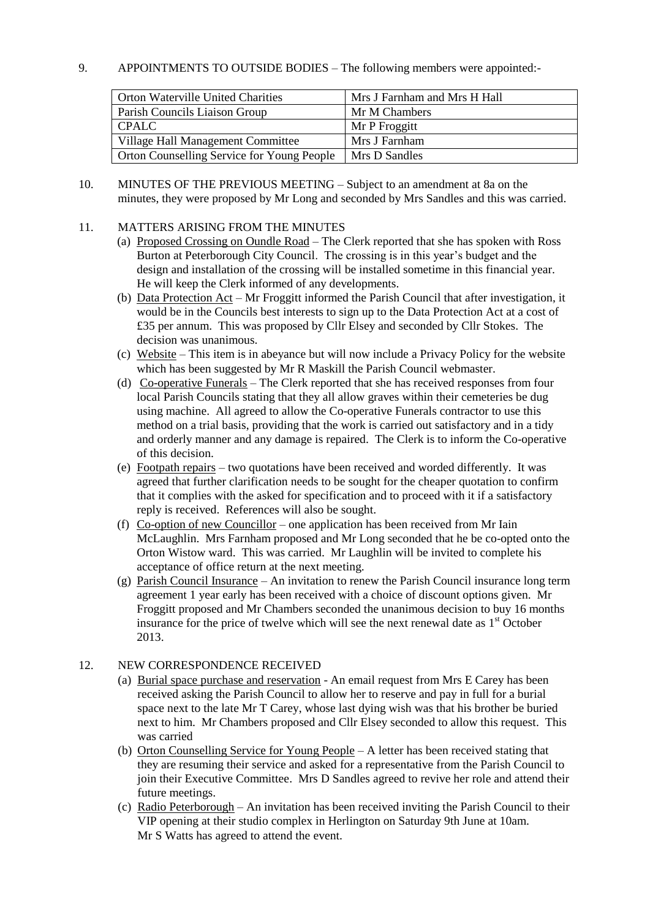## 9. APPOINTMENTS TO OUTSIDE BODIES – The following members were appointed:-

| <b>Orton Waterville United Charities</b>   | Mrs J Farnham and Mrs H Hall |
|--------------------------------------------|------------------------------|
| Parish Councils Liaison Group              | Mr M Chambers                |
| <b>CPALC</b>                               | Mr P Froggitt                |
| Village Hall Management Committee          | Mrs J Farnham                |
| Orton Counselling Service for Young People | Mrs D Sandles                |

10. MINUTES OF THE PREVIOUS MEETING – Subject to an amendment at 8a on the minutes, they were proposed by Mr Long and seconded by Mrs Sandles and this was carried.

### 11. MATTERS ARISING FROM THE MINUTES

- (a) Proposed Crossing on Oundle Road The Clerk reported that she has spoken with Ross Burton at Peterborough City Council. The crossing is in this year's budget and the design and installation of the crossing will be installed sometime in this financial year. He will keep the Clerk informed of any developments.
- (b) Data Protection Act Mr Froggitt informed the Parish Council that after investigation, it would be in the Councils best interests to sign up to the Data Protection Act at a cost of £35 per annum. This was proposed by Cllr Elsey and seconded by Cllr Stokes. The decision was unanimous.
- (c) Website This item is in abeyance but will now include a Privacy Policy for the website which has been suggested by Mr R Maskill the Parish Council webmaster.
- (d) Co-operative Funerals The Clerk reported that she has received responses from four local Parish Councils stating that they all allow graves within their cemeteries be dug using machine. All agreed to allow the Co-operative Funerals contractor to use this method on a trial basis, providing that the work is carried out satisfactory and in a tidy and orderly manner and any damage is repaired. The Clerk is to inform the Co-operative of this decision.
- (e) Footpath repairs two quotations have been received and worded differently. It was agreed that further clarification needs to be sought for the cheaper quotation to confirm that it complies with the asked for specification and to proceed with it if a satisfactory reply is received. References will also be sought.
- (f) Co-option of new Councillor one application has been received from Mr Iain McLaughlin. Mrs Farnham proposed and Mr Long seconded that he be co-opted onto the Orton Wistow ward. This was carried. Mr Laughlin will be invited to complete his acceptance of office return at the next meeting.
- (g) Parish Council Insurance An invitation to renew the Parish Council insurance long term agreement 1 year early has been received with a choice of discount options given. Mr Froggitt proposed and Mr Chambers seconded the unanimous decision to buy 16 months insurance for the price of twelve which will see the next renewal date as  $1<sup>st</sup>$  October 2013.

#### 12. NEW CORRESPONDENCE RECEIVED

- (a) Burial space purchase and reservation An email request from Mrs E Carey has been received asking the Parish Council to allow her to reserve and pay in full for a burial space next to the late Mr T Carey, whose last dying wish was that his brother be buried next to him. Mr Chambers proposed and Cllr Elsey seconded to allow this request. This was carried
- (b) Orton Counselling Service for Young People A letter has been received stating that they are resuming their service and asked for a representative from the Parish Council to join their Executive Committee. Mrs D Sandles agreed to revive her role and attend their future meetings.
- (c) Radio Peterborough An invitation has been received inviting the Parish Council to their VIP opening at their studio complex in Herlington on Saturday 9th June at 10am. Mr S Watts has agreed to attend the event.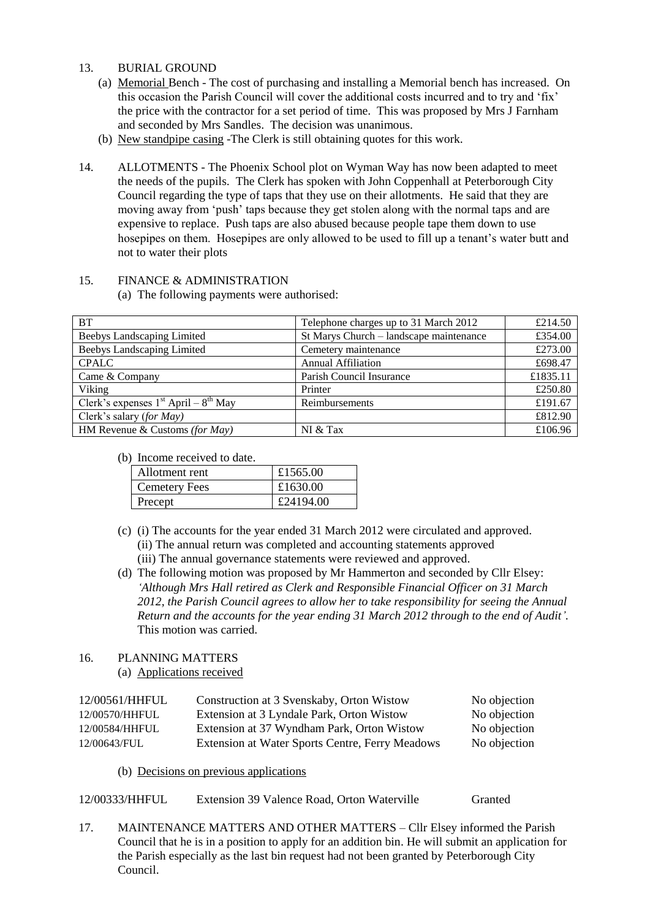#### 13. BURIAL GROUND

- (a) Memorial Bench The cost of purchasing and installing a Memorial bench has increased. On this occasion the Parish Council will cover the additional costs incurred and to try and 'fix' the price with the contractor for a set period of time. This was proposed by Mrs J Farnham and seconded by Mrs Sandles. The decision was unanimous.
- (b) New standpipe casing -The Clerk is still obtaining quotes for this work.
- 14. ALLOTMENTS The Phoenix School plot on Wyman Way has now been adapted to meet the needs of the pupils. The Clerk has spoken with John Coppenhall at Peterborough City Council regarding the type of taps that they use on their allotments. He said that they are moving away from 'push' taps because they get stolen along with the normal taps and are expensive to replace. Push taps are also abused because people tape them down to use hosepipes on them. Hosepipes are only allowed to be used to fill up a tenant's water butt and not to water their plots

# 15. FINANCE & ADMINISTRATION

(a) The following payments were authorised:

| <b>BT</b>                                | Telephone charges up to 31 March 2012   | £214.50  |
|------------------------------------------|-----------------------------------------|----------|
| <b>Beebys Landscaping Limited</b>        | St Marys Church - landscape maintenance | £354.00  |
| Beebys Landscaping Limited               | Cemetery maintenance                    | £273.00  |
| <b>CPALC</b>                             | <b>Annual Affiliation</b>               | £698.47  |
| Came & Company                           | Parish Council Insurance                | £1835.11 |
| Viking                                   | Printer                                 | £250.80  |
| Clerk's expenses $1st$ April – $8th$ May | Reimbursements                          | £191.67  |
| Clerk's salary (for May)                 |                                         | £812.90  |
| HM Revenue & Customs (for May)           | NI & Tax                                | £106.96  |

(b) Income received to date.

| Allotment rent       | £1565.00  |
|----------------------|-----------|
| <b>Cemetery Fees</b> | £1630.00  |
| Precept              | £24194.00 |

- (c) (i) The accounts for the year ended 31 March 2012 were circulated and approved. (ii) The annual return was completed and accounting statements approved (iii) The annual governance statements were reviewed and approved.
- (d) The following motion was proposed by Mr Hammerton and seconded by Cllr Elsey: *'Although Mrs Hall retired as Clerk and Responsible Financial Officer on 31 March 2012, the Parish Council agrees to allow her to take responsibility for seeing the Annual Return and the accounts for the year ending 31 March 2012 through to the end of Audit'.* This motion was carried.

#### 16. PLANNING MATTERS

(a) Applications received

| 12/00561/HHFUL | Construction at 3 Svenskaby, Orton Wistow       | No objection |
|----------------|-------------------------------------------------|--------------|
| 12/00570/HHFUL | Extension at 3 Lyndale Park, Orton Wistow       | No objection |
| 12/00584/HHFUL | Extension at 37 Wyndham Park, Orton Wistow      | No objection |
| 12/00643/FUL   | Extension at Water Sports Centre, Ferry Meadows | No objection |
|                |                                                 |              |

(b) Decisions on previous applications

| 12/00333/HHFUL<br>Extension 39 Valence Road, Orton Waterville | Granted |
|---------------------------------------------------------------|---------|
|---------------------------------------------------------------|---------|

17. MAINTENANCE MATTERS AND OTHER MATTERS – Cllr Elsey informed the Parish Council that he is in a position to apply for an addition bin. He will submit an application for the Parish especially as the last bin request had not been granted by Peterborough City Council.